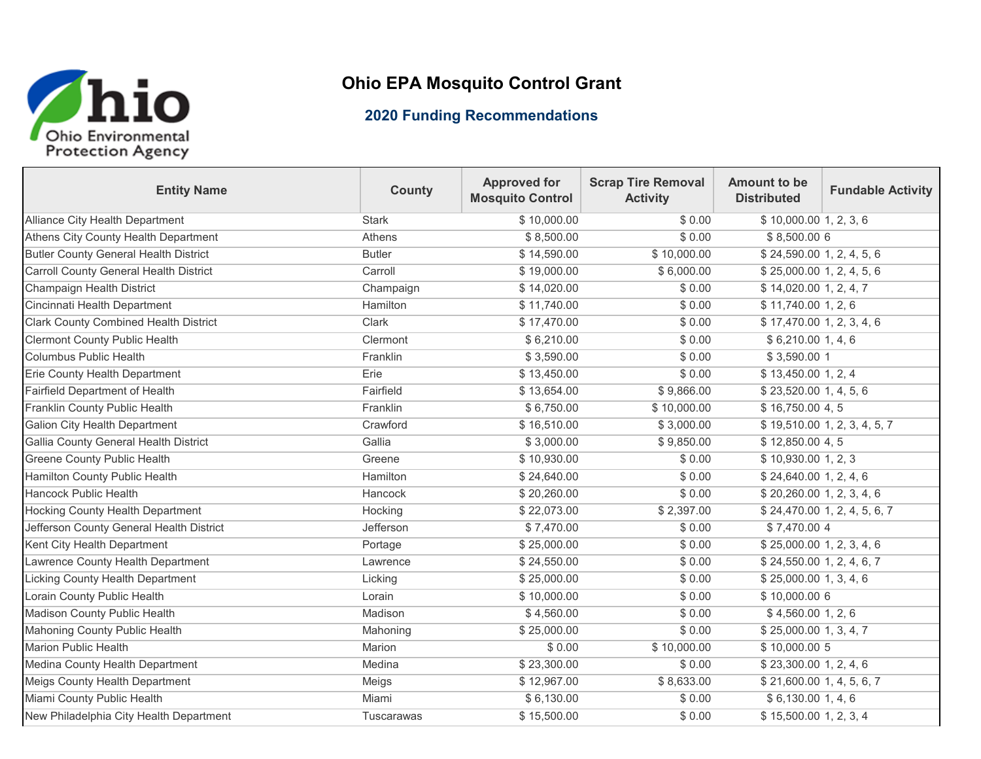

## **Ohio EPA Mosquito Control Grant**

## **2020 Funding Recommendations**

| <b>Entity Name</b>                            | <b>County</b> | <b>Approved for</b><br><b>Mosquito Control</b> | <b>Scrap Tire Removal</b><br><b>Activity</b> | Amount to be<br><b>Distributed</b>     | <b>Fundable Activity</b>     |
|-----------------------------------------------|---------------|------------------------------------------------|----------------------------------------------|----------------------------------------|------------------------------|
| Alliance City Health Department               | <b>Stark</b>  | \$10,000.00                                    | \$0.00                                       | \$10,000.001, 2, 3, 6                  |                              |
| Athens City County Health Department          | Athens        | \$8,500.00                                     | \$0.00                                       | \$8,500.006                            |                              |
| <b>Butler County General Health District</b>  | <b>Butler</b> | \$14,590.00                                    | \$10,000.00                                  | \$24,590.00 1, 2, 4, 5, 6              |                              |
| <b>Carroll County General Health District</b> | Carroll       | \$19,000.00                                    | \$6,000.00                                   | \$25,000.00 1, 2, 4, 5, 6              |                              |
| Champaign Health District                     | Champaign     | \$14,020.00                                    | \$0.00                                       | \$14,020.001, 2, 4, 7                  |                              |
| Cincinnati Health Department                  | Hamilton      | \$11,740.00                                    | \$0.00                                       | \$11,740.00 1, 2, 6                    |                              |
| <b>Clark County Combined Health District</b>  | Clark         | \$17,470.00                                    | \$0.00                                       | \$17,470.001, 2, 3, 4, 6               |                              |
| <b>Clermont County Public Health</b>          | Clermont      | \$6,210.00                                     | \$0.00                                       | \$6,210.001,4,6                        |                              |
| <b>Columbus Public Health</b>                 | Franklin      | \$3,590.00                                     | \$0.00                                       | \$3,590.00 1                           |                              |
| Erie County Health Department                 | Erie          | \$13,450.00                                    | \$0.00                                       | \$13,450.00 1, 2, 4                    |                              |
| <b>Fairfield Department of Health</b>         | Fairfield     | \$13,654.00                                    | \$9,866.00                                   | \$23,520.00 1, 4, 5, 6                 |                              |
| Franklin County Public Health                 | Franklin      | \$6,750.00                                     | \$10,000.00                                  | \$16,750.004,5                         |                              |
| <b>Galion City Health Department</b>          | Crawford      | \$16,510.00                                    | \$3,000.00                                   |                                        | \$19,510.00 1, 2, 3, 4, 5, 7 |
| Gallia County General Health District         | Gallia        | \$3,000.00                                     | \$9,850.00                                   | \$12,850.00 4,5                        |                              |
| Greene County Public Health                   | Greene        | \$10,930.00                                    | \$0.00                                       | \$10,930.00 1, 2, 3                    |                              |
| <b>Hamilton County Public Health</b>          | Hamilton      | \$24,640.00                                    | \$0.00                                       | \$24,640.00 1, 2, 4, 6                 |                              |
| <b>Hancock Public Health</b>                  | Hancock       | \$20,260.00                                    | \$0.00                                       | \$20,260.00 1, 2, 3, 4, 6              |                              |
| <b>Hocking County Health Department</b>       | Hocking       | \$22,073.00                                    | \$2,397.00                                   |                                        | \$24,470.00 1, 2, 4, 5, 6, 7 |
| Jefferson County General Health District      | Jefferson     | \$7,470.00                                     | \$0.00                                       | \$7,470.00 4                           |                              |
| Kent City Health Department                   | Portage       | \$25,000.00                                    | \$0.00                                       | \$25,000.00 1, 2, 3, 4, 6              |                              |
| Lawrence County Health Department             | Lawrence      | \$24,550.00                                    | \$0.00                                       | \$24,550.00 1, 2, 4, 6, 7              |                              |
| <b>Licking County Health Department</b>       | Licking       | \$25,000.00                                    | \$0.00                                       | \$25,000.00 1, 3, 4, 6                 |                              |
| Lorain County Public Health                   | Lorain        | \$10,000.00                                    | \$0.00                                       | \$10,000.00 6                          |                              |
| <b>Madison County Public Health</b>           | Madison       | \$4,560.00                                     | \$0.00                                       | \$4,560.00 1, 2, 6                     |                              |
| Mahoning County Public Health                 | Mahoning      | \$25,000.00                                    | \$0.00                                       | \$25,000.00 1, 3, 4, 7                 |                              |
| <b>Marion Public Health</b>                   | Marion        | \$0.00                                         | \$10,000.00                                  | \$10,000.00 5                          |                              |
| Medina County Health Department               | Medina        | \$23,300.00                                    | \$0.00                                       | \$23,300.00 1, 2, 4, 6                 |                              |
| <b>Meigs County Health Department</b>         | Meigs         | \$12,967.00                                    | \$8,633.00                                   | \$21,600.00 1, 4, 5, 6, 7              |                              |
| Miami County Public Health                    | Miami         | \$6,130.00                                     | \$0.00                                       | \$6,130.00 1, 4, 6                     |                              |
| New Philadelphia City Health Department       | Tuscarawas    | \$15,500.00                                    | \$0.00                                       | $\overline{$}3, 15, 500.00 1, 2, 3, 4$ |                              |